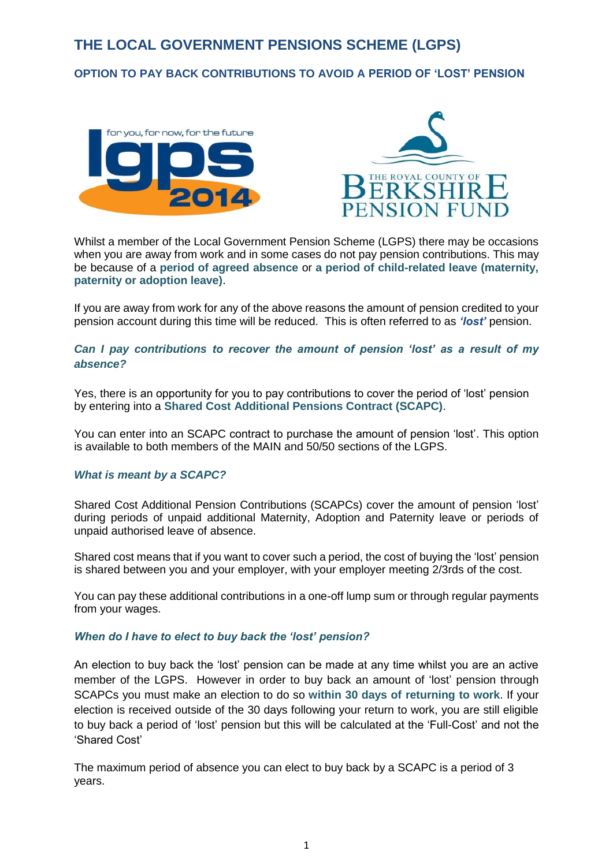# **THE LOCAL GOVERNMENT PENSIONS SCHEME (LGPS)**

## **OPTION TO PAY BACK CONTRIBUTIONS TO AVOID A PERIOD OF 'LOST' PENSION**





Whilst a member of the Local Government Pension Scheme (LGPS) there may be occasions when you are away from work and in some cases do not pay pension contributions. This may be because of a **period of agreed absence** or **a period of child-related leave (maternity, paternity or adoption leave)**.

If you are away from work for any of the above reasons the amount of pension credited to your pension account during this time will be reduced. This is often referred to as *'lost'* pension.

#### *Can I pay contributions to recover the amount of pension 'lost' as a result of my absence?*

Yes, there is an opportunity for you to pay contributions to cover the period of 'lost' pension by entering into a **Shared Cost Additional Pensions Contract (SCAPC)**.

You can enter into an SCAPC contract to purchase the amount of pension 'lost'. This option is available to both members of the MAIN and 50/50 sections of the LGPS.

#### *What is meant by a SCAPC?*

Shared Cost Additional Pension Contributions (SCAPCs) cover the amount of pension 'lost' during periods of unpaid additional Maternity, Adoption and Paternity leave or periods of unpaid authorised leave of absence.

Shared cost means that if you want to cover such a period, the cost of buying the 'lost' pension is shared between you and your employer, with your employer meeting 2/3rds of the cost.

You can pay these additional contributions in a one-off lump sum or through regular payments from your wages.

#### *When do I have to elect to buy back the 'lost' pension?*

An election to buy back the 'lost' pension can be made at any time whilst you are an active member of the LGPS. However in order to buy back an amount of 'lost' pension through SCAPCs you must make an election to do so **within 30 days of returning to work**. If your election is received outside of the 30 days following your return to work, you are still eligible to buy back a period of 'lost' pension but this will be calculated at the 'Full-Cost' and not the 'Shared Cost'

The maximum period of absence you can elect to buy back by a SCAPC is a period of 3 years.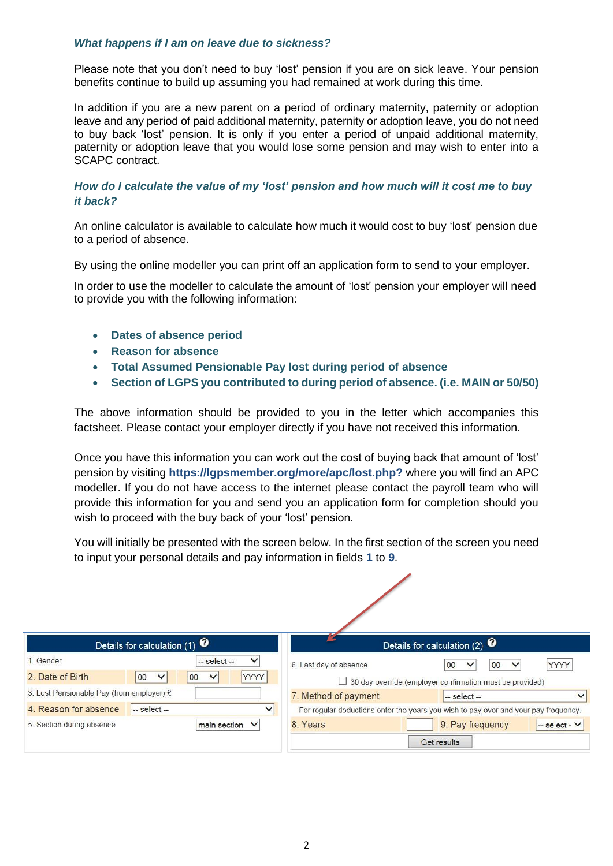#### *What happens if I am on leave due to sickness?*

Please note that you don't need to buy 'lost' pension if you are on sick leave. Your pension benefits continue to build up assuming you had remained at work during this time.

In addition if you are a new parent on a period of ordinary maternity, paternity or adoption leave and any period of paid additional maternity, paternity or adoption leave, you do not need to buy back 'lost' pension. It is only if you enter a period of unpaid additional maternity, paternity or adoption leave that you would lose some pension and may wish to enter into a SCAPC contract.

## *How do I calculate the value of my 'lost' pension and how much will it cost me to buy it back?*

An online calculator is available to calculate how much it would cost to buy 'lost' pension due to a period of absence.

By using the online modeller you can print off an application form to send to your employer.

In order to use the modeller to calculate the amount of 'lost' pension your employer will need to provide you with the following information:

- **Dates of absence period**
- **Reason for absence**
- **Total Assumed Pensionable Pay lost during period of absence**
- **Section of LGPS you contributed to during period of absence. (i.e. MAIN or 50/50)**

The above information should be provided to you in the letter which accompanies this factsheet. Please contact your employer directly if you have not received this information.

Once you have this information you can work out the cost of buying back that amount of 'lost' pension by visiting **https://lgpsmember.org/more/apc/lost.php?** where you will find an APC modeller. If you do not have access to the internet please contact the payroll team who will provide this information for you and send you an application form for completion should you wish to proceed with the buy back of your 'lost' pension.

You will initially be presented with the screen below. In the first section of the screen you need to input your personal details and pay information in fields **1** to **9**.

|                                           | Details for calculation $(1)$ $\bullet$                 |                        | Details for calculation $(2)$ $\bullet$                                             |
|-------------------------------------------|---------------------------------------------------------|------------------------|-------------------------------------------------------------------------------------|
| 1. Gender                                 | $\checkmark$<br>$-$ select $-$                          | 6. Last day of absence | <b>YYYY</b><br>00<br>00<br>$\checkmark$<br>$\check{ }$                              |
| 2. Date of Birth                          | <b>YYYY</b><br>00<br>00<br>$\checkmark$<br>$\checkmark$ |                        | $\Box$ 30 day override (employer confirmation must be provided)                     |
| 3. Lost Pensionable Pay (from employer) £ |                                                         | 7. Method of payment   | $-$ select $-$                                                                      |
| 4. Reason for absence                     | $-$ select $-$<br>$\checkmark$                          |                        | For regular deductions enter the years you wish to pay over and your pay frequency. |
| 5. Section during absence                 | main section V                                          | 8. Years               | 9. Pay frequency<br>-- select - V                                                   |
|                                           |                                                         |                        | Get results                                                                         |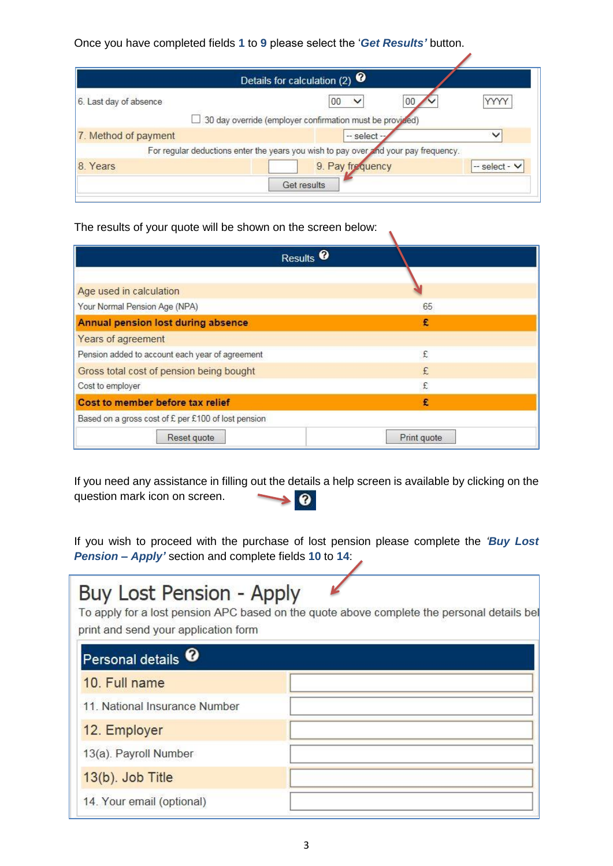Once you have completed fields **1** to **9** please select the '*Get Results'* button.

|                        | Details for calculation (2) $\bullet$                                               |                    |
|------------------------|-------------------------------------------------------------------------------------|--------------------|
| 6. Last day of absence | 00<br>00                                                                            |                    |
|                        | 30 day override (employer confirmation must be provided)                            |                    |
| 7. Method of payment   | $-$ select $-$                                                                      |                    |
|                        | For regular deductions enter the years you wish to pay over and your pay frequency. |                    |
| 8. Years               | 9. Pay frequency                                                                    | $-$ select $ \vee$ |

 $\sqrt{2}$ 

The results of your quote will be shown on the screen below:

| Results <sup>0</sup>                                |             |
|-----------------------------------------------------|-------------|
|                                                     |             |
| Age used in calculation                             |             |
| Your Normal Pension Age (NPA)                       | 65          |
| Annual pension lost during absence                  | £           |
| Years of agreement                                  |             |
| Pension added to account each year of agreement     | £           |
| Gross total cost of pension being bought            | £           |
| Cost to employer                                    | £           |
| Cost to member before tax relief                    | £           |
| Based on a gross cost of £ per £100 of lost pension |             |
| Reset quote                                         | Print quote |

If you need any assistance in filling out the details a help screen is available by clicking on the question mark icon on screen.  $\bullet$  $\blacktriangleright$ 

If you wish to proceed with the purchase of lost pension please complete the *'Buy Lost Pension – Apply'* section and complete fields **10** to **14**:

| Buy Lost Pension - Apply<br>print and send your application form | To apply for a lost pension APC based on the quote above complete the personal details be |
|------------------------------------------------------------------|-------------------------------------------------------------------------------------------|
| Personal details <sup>0</sup>                                    |                                                                                           |
| 10. Full name                                                    |                                                                                           |
| 11. National Insurance Number                                    |                                                                                           |
| 12. Employer                                                     |                                                                                           |
| 13(a). Payroll Number                                            |                                                                                           |
| 13(b). Job Title                                                 |                                                                                           |
| 14. Your email (optional)                                        |                                                                                           |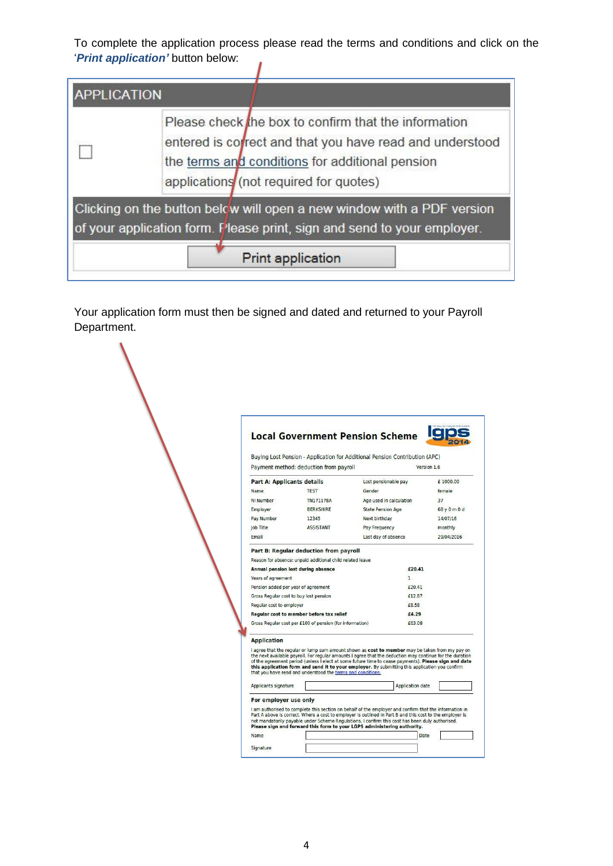To complete the application process please read the terms and conditions and click on the '*Print application'* button below:  $\overline{I}$ 

| <b>APPLICATION</b> | Please check the box to confirm that the information<br>entered is correct and that you have read and understood<br>the terms and conditions for additional pension<br>applications (not required for quotes) |
|--------------------|---------------------------------------------------------------------------------------------------------------------------------------------------------------------------------------------------------------|
|                    | Clicking on the button below will open a new window with a PDF version<br>of your application form. Please print, sign and send to your employer.                                                             |
|                    | <b>Print application</b>                                                                                                                                                                                      |

Your application form must then be signed and dated and returned to your Payroll Department.

|                                   |                                                             | <b>Local Government Pension Scheme</b>                                                                                                                                                                                                                                                                                                                                                                                |              |
|-----------------------------------|-------------------------------------------------------------|-----------------------------------------------------------------------------------------------------------------------------------------------------------------------------------------------------------------------------------------------------------------------------------------------------------------------------------------------------------------------------------------------------------------------|--------------|
|                                   |                                                             | Buying Lost Pension - Application for Additional Pension Contribution (APC)                                                                                                                                                                                                                                                                                                                                           |              |
|                                   | Payment method: deduction from payroll                      |                                                                                                                                                                                                                                                                                                                                                                                                                       | Version 1.6  |
| <b>Part A: Applicants details</b> |                                                             | Lost pensionable pay                                                                                                                                                                                                                                                                                                                                                                                                  | £ 1000.00    |
| Name.                             | <b>TEST</b>                                                 | <b>Gender</b>                                                                                                                                                                                                                                                                                                                                                                                                         | female       |
| NI Number                         | <b>TN171178A</b>                                            | Age used in calculation                                                                                                                                                                                                                                                                                                                                                                                               | 37           |
| Employer                          | <b>BERKSHIRE</b>                                            | <b>State Pension Age</b>                                                                                                                                                                                                                                                                                                                                                                                              | 68 y 0 m 0 d |
| Pay Number                        | 12345                                                       | Next birthday                                                                                                                                                                                                                                                                                                                                                                                                         | 14/07/16     |
| <b>Job Title</b>                  | <b>ASSISTANT</b>                                            | Pay Frequency                                                                                                                                                                                                                                                                                                                                                                                                         | monthly      |
| Email                             |                                                             | Last day of absence                                                                                                                                                                                                                                                                                                                                                                                                   | 29/04/2016   |
|                                   | Part B: Regular deduction from payroll                      |                                                                                                                                                                                                                                                                                                                                                                                                                       |              |
|                                   | Reason for absence: unpaid additional child related leave   |                                                                                                                                                                                                                                                                                                                                                                                                                       |              |
|                                   | Annual pension lost during absence                          | £20.41                                                                                                                                                                                                                                                                                                                                                                                                                |              |
| Years of agreement                |                                                             | $\mathbf{1}$                                                                                                                                                                                                                                                                                                                                                                                                          |              |
|                                   | Pension added per year of agreement                         | £20.41                                                                                                                                                                                                                                                                                                                                                                                                                |              |
|                                   | Gross Regular cost to buy lost pension                      | £12.87                                                                                                                                                                                                                                                                                                                                                                                                                |              |
| Regular cost to employer          |                                                             | £8.58                                                                                                                                                                                                                                                                                                                                                                                                                 |              |
|                                   | Regular cost to member before tax relief                    | £4.29                                                                                                                                                                                                                                                                                                                                                                                                                 |              |
|                                   | Gross Regular cost per £100 of pension (for information)    | £63.08                                                                                                                                                                                                                                                                                                                                                                                                                |              |
| <b>Application</b>                |                                                             |                                                                                                                                                                                                                                                                                                                                                                                                                       |              |
|                                   | that you have read and understood the terms and conditions. | I agree that the regular or lump sum amount shown as cost to member may be taken from my pay on<br>the next available payroll. For regular amounts I agree that the deduction may continue for the duration<br>of the agreement period (unless I elect at some future time to cease payments). Please sign and date<br>this application form and send it to your employer. By submitting this application you confirm |              |
| Applicants signature              |                                                             | <b>Application date</b>                                                                                                                                                                                                                                                                                                                                                                                               |              |
| For employer use only             |                                                             |                                                                                                                                                                                                                                                                                                                                                                                                                       |              |
|                                   |                                                             | I am authorised to complete this section on behalf of the employer and confirm that the information in<br>Part A above is correct. Where a cost to employer is outlined in Part B and this cost to the employer is<br>not mandatorily payable under Scheme Requlations, I confirm this cost has been duly authorised.<br>Please sign and forward this form to your LGPS administering authority.                      |              |
|                                   |                                                             |                                                                                                                                                                                                                                                                                                                                                                                                                       |              |
| Name                              |                                                             |                                                                                                                                                                                                                                                                                                                                                                                                                       | Date         |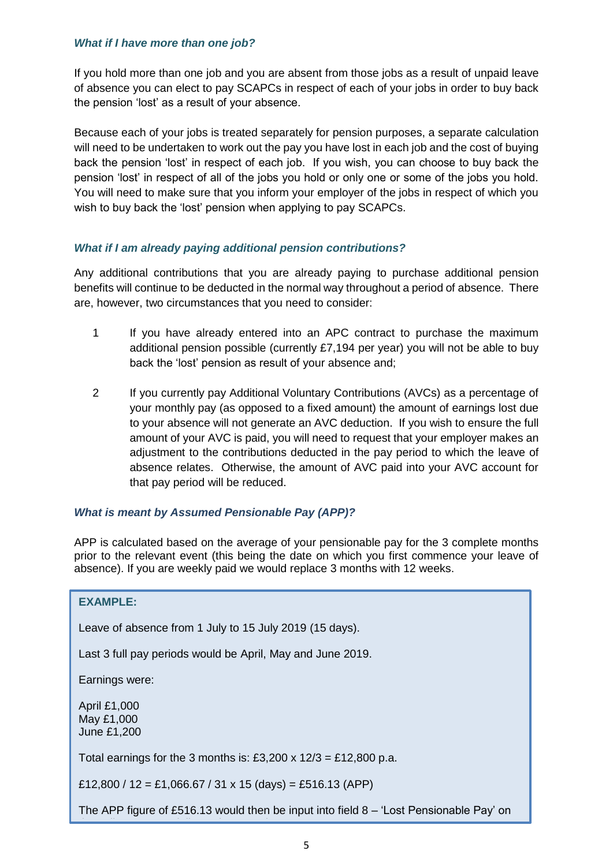## *What if I have more than one job?*

If you hold more than one job and you are absent from those jobs as a result of unpaid leave of absence you can elect to pay SCAPCs in respect of each of your jobs in order to buy back the pension 'lost' as a result of your absence.

Because each of your jobs is treated separately for pension purposes, a separate calculation will need to be undertaken to work out the pay you have lost in each job and the cost of buying back the pension 'lost' in respect of each job. If you wish, you can choose to buy back the pension 'lost' in respect of all of the jobs you hold or only one or some of the jobs you hold. You will need to make sure that you inform your employer of the jobs in respect of which you wish to buy back the 'lost' pension when applying to pay SCAPCs.

## *What if I am already paying additional pension contributions?*

Any additional contributions that you are already paying to purchase additional pension benefits will continue to be deducted in the normal way throughout a period of absence. There are, however, two circumstances that you need to consider:

- 1 If you have already entered into an APC contract to purchase the maximum additional pension possible (currently £7,194 per year) you will not be able to buy back the 'lost' pension as result of your absence and;
- 2 If you currently pay Additional Voluntary Contributions (AVCs) as a percentage of your monthly pay (as opposed to a fixed amount) the amount of earnings lost due to your absence will not generate an AVC deduction. If you wish to ensure the full amount of your AVC is paid, you will need to request that your employer makes an adjustment to the contributions deducted in the pay period to which the leave of absence relates. Otherwise, the amount of AVC paid into your AVC account for that pay period will be reduced.

## *What is meant by Assumed Pensionable Pay (APP)?*

APP is calculated based on the average of your pensionable pay for the 3 complete months prior to the relevant event (this being the date on which you first commence your leave of absence). If you are weekly paid we would replace 3 months with 12 weeks.

## **EXAMPLE:**

Leave of absence from 1 July to 15 July 2019 (15 days).

Last 3 full pay periods would be April, May and June 2019.

Earnings were:

April £1,000 May £1,000 June £1,200

Total earnings for the 3 months is: £3,200 x  $12/3 =$  £12,800 p.a.

£12,800 / 12 = £1,066.67 / 31 x 15 (days) = £516.13 (APP)

the online APC modeller as instructed on page 4.

The APP figure of £516.13 would then be input into field 8 – 'Lost Pensionable Pay' on